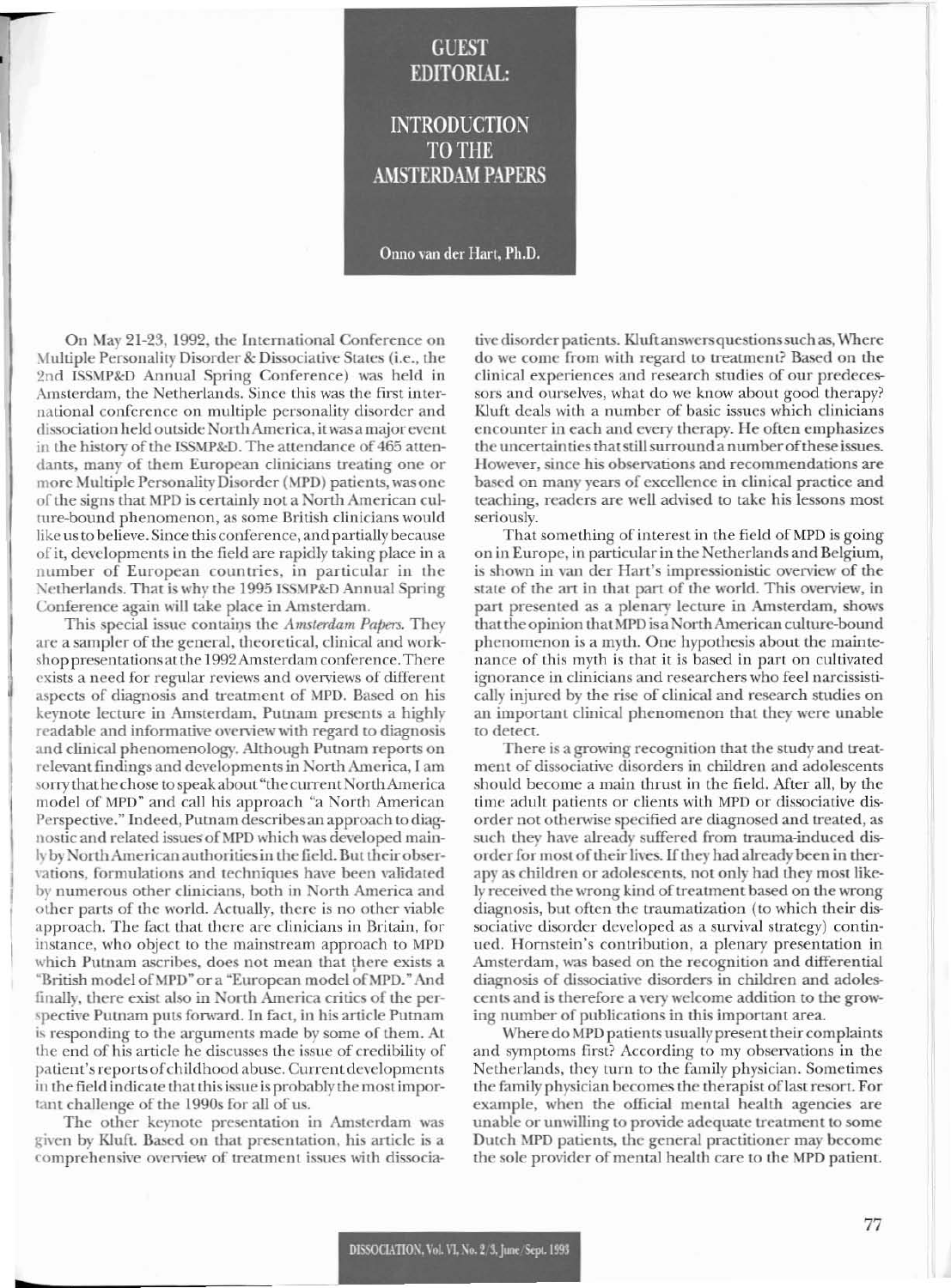## **GUEST EDITORIAL:**

**INTRODUCTION TO THE AMSTERDAM PAPERS** 

Onno van der Hart, Ph.D.

On May 21-23, 1992, the International Conference on Multiple Personality Disorder & Dissociative States (i.e., the 2nd ISSMP&D Annual Spring Conference) was held in Amsterdam, the Netherlands. Since this was the first international conference on multiple personality disorder and dissociation held outside North America, it was a major event in the history of the ISSMP&D. The attendance of 465 attendants, many of them European clinicians treating one or more Multiple Personality Disorder (MPD) patients, was one of the signs that MPD is certainly not a North American culture-bound phenomenon, as some British clinicians would like us to believe. Since this conference, and partially because of it, developments in the field are rapidly taking place in a number of European countries, in particular in the Netherlands. That is why the 1995 ISSMP&D Annual Spring Conference again will take place in Amsterdam.

This special issue contains the Amsterdam Papers. They are a sampler of the general, theoretical, clinical and workshop presentations at the 1992 Amsterdam conference. There exists a need for regular reviews and overviews of different aspects of diagnosis and treatment of MPD. Based on his keynote lecture in Amsterdam, Putnam presents a highly readable and informative overview with regard to diagnosis and clinical phenomenology. Although Putnam reports on relevant findings and developments in North America, I am sorry that he chose to speak about "the current North America model of MPD" and call his approach "a North American Perspective." Indeed, Putnam describes an approach to diagnostic and related issues of MPD which was developed mainly by North American authorities in the field. But their observations, formulations and techniques have been validated by numerous other clinicians, both in North America and other parts of the world. Actually, there is no other viable approach. The fact that there are clinicians in Britain, for instance, who object to the mainstream approach to MPD which Putnam ascribes, does not mean that there exists a "British model of MPD" or a "European model of MPD." And finally, there exist also in North America critics of the perspective Putnam puts forward. In fact, in his article Putnam is responding to the arguments made by some of them. At the end of his article he discusses the issue of credibility of patient's reports of childhood abuse. Current developments in the field indicate that this issue is probably the most important challenge of the 1990s for all of us.

The other keynote presentation in Amsterdam was given by Kluft. Based on that presentation, his article is a comprehensive overview of treatment issues with dissocia-

tive disorder patients. Kluft answers questions such as, Where do we come from with regard to treatment? Based on the clinical experiences and research studies of our predecessors and ourselves, what do we know about good therapy? Kluft deals with a number of basic issues which clinicians encounter in each and every therapy. He often emphasizes the uncertainties that still surround a number of these issues. However, since his observations and recommendations are based on many years of excellence in clinical practice and teaching, readers are well advised to take his lessons most seriously.

That something of interest in the field of MPD is going on in Europe, in particular in the Netherlands and Belgium, is shown in van der Hart's impressionistic overview of the state of the art in that part of the world. This overview, in part presented as a plenary lecture in Amsterdam, shows that the opinion that MPD is a North American culture-bound phenomenon is a myth. One hypothesis about the maintenance of this myth is that it is based in part on cultivated ignorance in clinicians and researchers who feel narcissistically injured by the rise of clinical and research studies on an important clinical phenomenon that they were unable to detect.

There is a growing recognition that the study and treatment of dissociative disorders in children and adolescents should become a main thrust in the field. After all, by the time adult patients or clients with MPD or dissociative disorder not otherwise specified are diagnosed and treated, as such they have already suffered from trauma-induced disorder for most of their lives. If they had already been in therapy as children or adolescents, not only had they most likely received the wrong kind of treatment based on the wrong diagnosis, but often the traumatization (to which their dissociative disorder developed as a survival strategy) continued. Hornstein's contribution, a plenary presentation in Amsterdam, was based on the recognition and differential diagnosis of dissociative disorders in children and adolescents and is therefore a very welcome addition to the growing number of publications in this important area.

Where do MPD patients usually present their complaints and symptoms first? According to my observations in the Netherlands, they turn to the family physician. Sometimes the family physician becomes the therapist of last resort. For example, when the official mental health agencies are unable or unwilling to provide adequate treatment to some Dutch MPD patients, the general practitioner may become the sole provider of mental health care to the MPD patient.